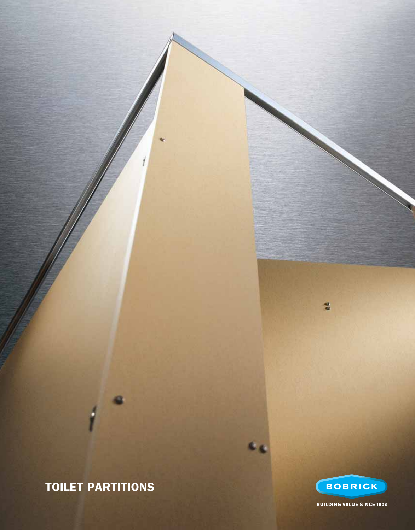

TOILET PARTITIONS



**BUILDING VALUE SINCE 1906**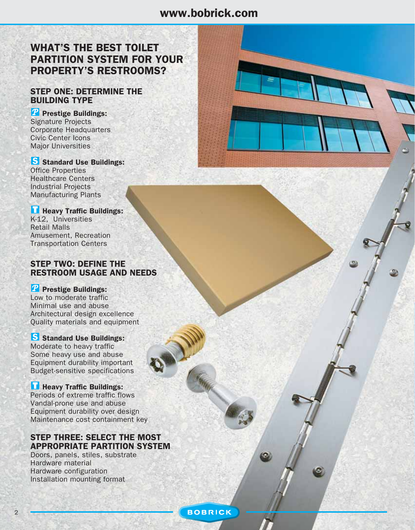## www.bobrick.com

# WHAT'S THE BEST TOILET PARTITION SYSTEM FOR YOUR PROPERTY'S RESTROOMS?

#### STEP ONE: DETERMINE THE BUILDING TYPE

**P** Prestige Buildings: Signature Projects Corporate Headquarters Civic Center Icons Major Universities

S Standard Use Buildings: Office Properties Healthcare Centers Industrial Projects Manufacturing Plants

**Heavy Traffic Buildings:** K-12, Universities Retail Malls Amusement, Recreation Transportation Centers

#### STEP TWO: DEFINE THE RESTROOM USAGE AND NEEDS

**P** Prestige Buildings: Low to moderate traffic Minimal use and abuse Architectural design excellence Quality materials and equipment

**S** Standard Use Buildings: Moderate to heavy traffic Some heavy use and abuse Equipment durability important

Budget-sensitive specifications

**Heavy Traffic Buildings:** Periods of extreme traffic flows Vandal-prone use and abuse Equipment durability over design Maintenance cost containment key

## STEP THREE: SELECT THE MOST APPROPRIATE PARTITION SYSTEM

Doors, panels, stiles, substrate Hardware material Hardware configuration Installation mounting format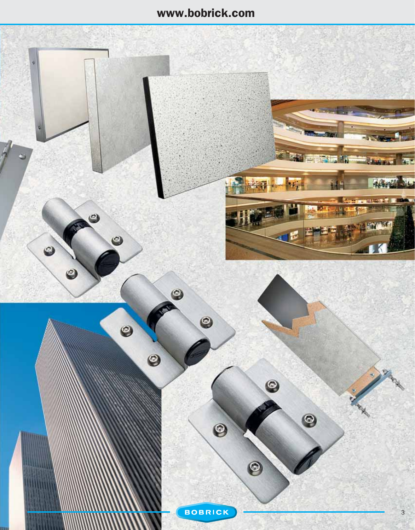# www.bobrick.com

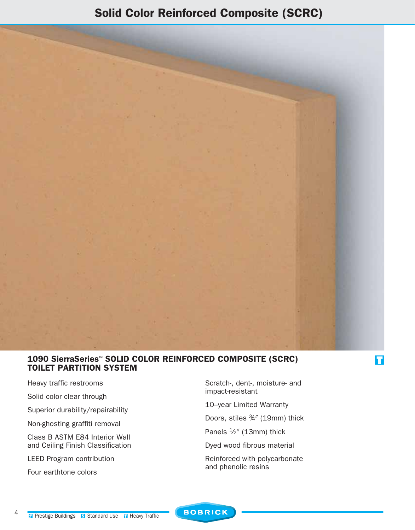## Solid Color Reinforced Composite (SCRC)



Heavy traffic restrooms

Solid color clear through

Superior durability/repairability

Non-ghosting graffiti removal

Class B ASTM E84 Interior Wall and Ceiling Finish Classification

LEED Program contribution

Four earthtone colors

Scratch-, dent-, moisture- and impact-resistant

т

10–year Limited Warranty

Doors, stiles 34" (19mm) thick

Panels  $\frac{1}{2}$ " (13mm) thick

**BOBRICK** 

Dyed wood fibrous material

Reinforced with polycarbonate and phenolic resins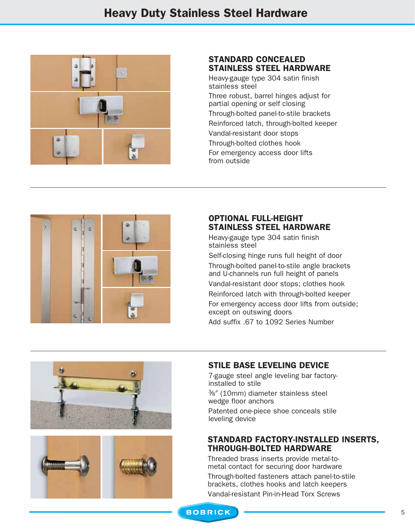

#### STANDARD CONCEALED STAINLESS STEEL HARDWARE

Heavy-gauge type 304 satin finish stainless steel Three robust, barrel hinges adjust for partial opening or self closing Through-bolted panel-to-stile brackets Reinforced latch, through-bolted keeper Vandal-resistant door stops Through-bolted clothes hook For emergency access door lifts from outside



#### OPTIONAL FULL-HEIGHT STAINLESS STEEL HARDWARE

Heavy-gauge type 304 satin finish stainless steel

Self-closing hinge runs full height of door Through-bolted panel-to-stile angle brackets and U-channels run full height of panels

Vandal-resistant door stops; clothes hook Reinforced latch with through-bolted keeper

For emergency access door lifts from outside; except on outswing doors

Add suffix .67 to 1092 Series Number





## STILE BASE LEVELING DEVICE

7-gauge steel angle leveling bar factoryinstalled to stile

3 ⁄8" (10mm) diameter stainless steel wedge floor anchors

Patented one-piece shoe conceals stile leveling device

#### STANDARD FACTORY-INSTALLED INSERTS, THROUGH-BOLTED HARDWARE

Threaded brass inserts provide metal-tometal contact for securing door hardware Through-bolted fasteners attach panel-to-stile brackets, clothes hooks and latch keepers Vandal-resistant Pin-in-Head Torx Screws

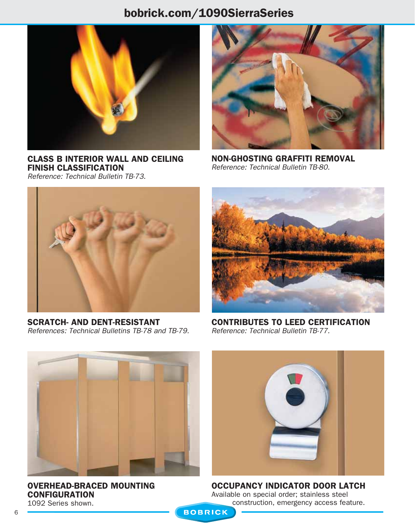# bobrick.com/1090SierraSeries



CLASS B INTERIOR WALL AND CEILING FINISH CLASSIFICATION Reference: Technical Bulletin TB-73.



NON-GHOSTING GRAFFITI REMOVAL Reference: Technical Bulletin TB-80.



SCRATCH- AND DENT-RESISTANT References: Technical Bulletins TB-78 and TB-79.



CONTRIBUTES TO LEED CERTIFICATION Reference: Technical Bulletin TB-77.



OVERHEAD-BRACED MOUNTING **CONFIGURATION** 1092 Series shown.



OCCUPANCY INDICATOR DOOR LATCH Available on special order; stainless steel construction, emergency access feature.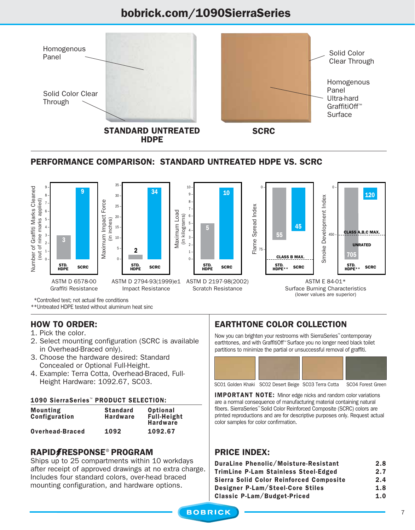# bobrick.com/1090SierraSeries





#### PERFORMANCE COMPARISON: STANDARD UNTREATED HDPE VS. SCRC



\*Controlled test; not actual fire conditions

\*\*Untreated HDPE tested without aluminum heat sinc

#### HOW TO ORDER:

- 1. Pick the color.
- 2. Select mounting configuration (SCRC is available in Overhead-Braced only).
- 3. Choose the hardware desired: Standard Concealed or Optional Full-Height.
- 4. Example: Terra Cotta, Overhead-Braced, Full-Height Hardware: 1092.67, SC03.

#### 1090 SierraSeries ™ PRODUCT SELECTION:

| Mounting<br>Configuration | <b>Standard</b><br><b>Hardware</b> | <b>Optional</b><br>Full-Height<br><b>Hardware</b> |
|---------------------------|------------------------------------|---------------------------------------------------|
| <b>Overhead-Braced</b>    | 1092                               | 1092.67                                           |

#### RAPIDƒRESPONSE® PROGRAM

Ships up to 25 compartments within 10 workdays after receipt of approved drawings at no extra charge. Includes four standard colors, over-head braced mounting configuration, and hardware options.

## EARTHTONE COLOR COLLECTION

Now you can brighten your restrooms with SierraSeries™ contemporary earthtones, and with GraffitiOff<sup>™</sup> Surface you no longer need black toilet partitions to minimize the partial or unsuccessful removal of graffiti.



IMPORTANT NOTE: Minor edge nicks and random color variations are a normal consequence of manufacturing material containing natural fibers. SierraSeries™ Solid Color Reinforced Composite (SCRC) colors are printed reproductions and are for descriptive purposes only. Request actual color samples for color confirmation.

#### PRICE INDEX:

| DuraLine Phenolic/Moisture-Resistant        | 2.8 |
|---------------------------------------------|-----|
| <b>TrimLine P-Lam Stainless Steel-Edged</b> | 2.7 |
| Sierra Solid Color Reinforced Composite     | 2.4 |
| Designer P-Lam/Steel-Core Stiles            | 1.8 |
| Classic P-Lam/Budget-Priced                 | 1.0 |

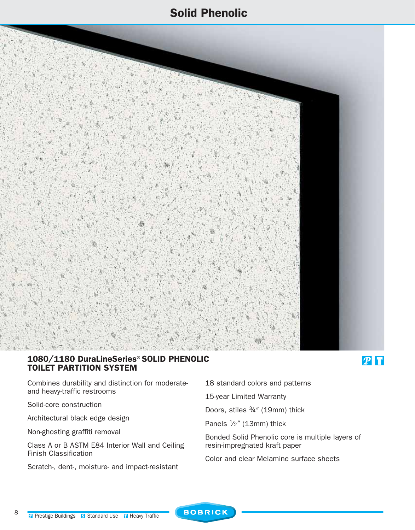

#### 1080/1180 DuraLineSeries® SOLID PHENOLIC TOILET PARTITION SYSTEM

# $P$  T

Combines durability and distinction for moderateand heavy-traffic restrooms

Solid-core construction

8

Architectural black edge design

Non-ghosting graffiti removal

Class A or B ASTM E84 Interior Wall and Ceiling Finish Classification

Scratch-, dent-, moisture- and impact-resistant

18 standard colors and patterns

15-year Limited Warranty

Doors, stiles  $\frac{3}{4}$ " (19mm) thick

Panels  $\frac{1}{2}$ " (13mm) thick

**BOBRICK** 

Bonded Solid Phenolic core is multiple layers of resin-impregnated kraft paper

Color and clear Melamine surface sheets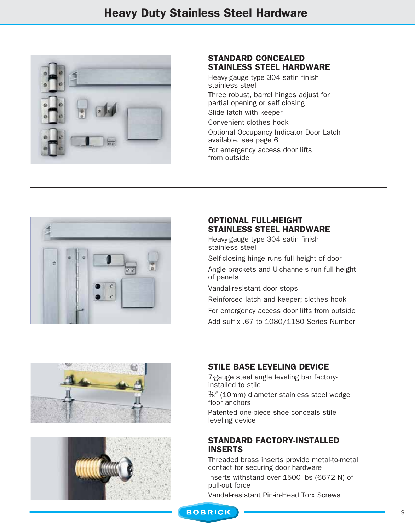

#### STANDARD CONCEALED STAINLESS STEEL HARDWARE

Heavy-gauge type 304 satin finish stainless steel Three robust, barrel hinges adjust for partial opening or self closing Slide latch with keeper Convenient clothes hook Optional Occupancy Indicator Door Latch available, see page 6 For emergency access door lifts from outside



#### OPTIONAL FULL-HEIGHT STAINLESS STEEL HARDWARE

Heavy-gauge type 304 satin finish stainless steel

Self-closing hinge runs full height of door

Angle brackets and U-channels run full height of panels

Vandal-resistant door stops

Reinforced latch and keeper; clothes hook

For emergency access door lifts from outside

Add suffix .67 to 1080/1180 Series Number





## STILE BASE LEVELING DEVICE

7-gauge steel angle leveling bar factoryinstalled to stile

3 ⁄8" (10mm) diameter stainless steel wedge floor anchors

Patented one-piece shoe conceals stile leveling device

#### STANDARD FACTORY-INSTALLED INSERTS

Threaded brass inserts provide metal-to-metal contact for securing door hardware Inserts withstand over 1500 lbs (6672 N) of pull-out force Vandal-resistant Pin-in-Head Torx Screws

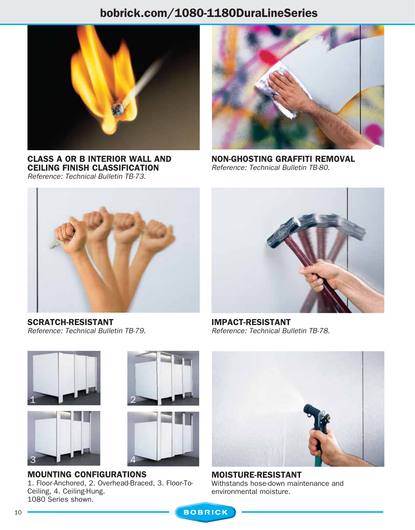# bobrick.com/1080-1180DuraLineSeries



CLASS A OR B INTERIOR WALL AND CEILING FINISH CLASSIFICATION Reference: Technical Bulletin TB-73.



NON-GHOSTING GRAFFITI REMOVAL Reference: Technical Bulletin TB-80.



SCRATCH-RESISTANT Reference: Technical Bulletin TB-79.



IMPACT-RESISTANT Reference: Technical Bulletin TB-78.









MOUNTING CONFIGURATIONS 1. Floor-Anchored, 2. Overhead-Braced, 3. Floor-To-Ceiling, 4. Ceiling-Hung. 1080 Series shown.



MOISTURE-RESISTANT Withstands hose-down maintenance and environmental moisture.

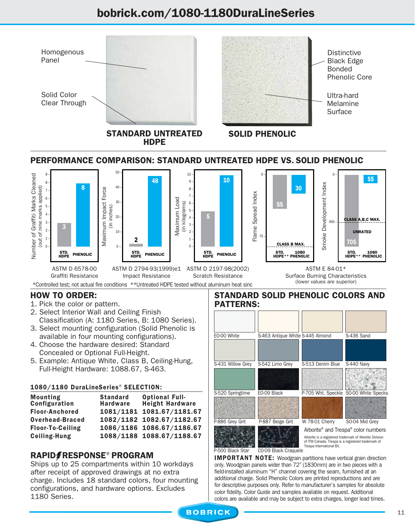# bobrick.com/1080-1180DuraLineSeries



#### HOW TO ORDER:

- 1. Pick the color or pattern.
- 2. Select Interior Wall and Ceiling Finish Classification (A: 1180 Series, B: 1080 Series).
- 3. Select mounting configuration (Solid Phenolic is available in four mounting configurations).
- 4. Choose the hardware desired: Standard Concealed or Optional Full-Height.
- 5. Example: Antique White, Class B, Ceiling-Hung, Full-Height Hardware: 1088.67, S-463.

#### 1080/1180 DuraLineSeries<sup>®</sup> SELECTION:

| <b>Mounting</b><br>Configuration | <b>Standard</b><br><b>Hardware</b> | <b>Optional Full-<br/>Height Hardware</b> |
|----------------------------------|------------------------------------|-------------------------------------------|
| <b>Floor-Anchored</b>            |                                    | 1081/1181 1081.67/1181.67                 |
| <b>Overhead-Braced</b>           |                                    | 1082/1182 1082.67/1182.67                 |
| <b>Floor-To-Ceiling</b>          |                                    | 1086/1186 1086.67/1186.67                 |
| <b>Ceiling-Hung</b>              |                                    | 1088/1188 1088.67/1188.67                 |

#### RAPIDƒRESPONSE® PROGRAM

Ships up to 25 compartments within 10 workdays after receipt of approved drawings at no extra charge. Includes 18 standard colors, four mounting configurations, and hardware options. Excludes 1180 Series.

#### STANDARD SOLID PHENOLIC COLORS AND PATTERNS:



IMPORTANT NOTE: Woodgrain partitions have vertical grain direction only. Woodgrain panels wider than 72" (1830mm) are in two pieces with a field-installed aluminum "H" channel covering the seam, furnished at an additional charge. Solid Phenolic Colors are printed reproductions and are for descriptive purposes only. Refer to manufacturer's samples for absolute color fidelity. Color Guide and samples available on request. Additional colors are available and may be subject to extra charges, longer lead times.

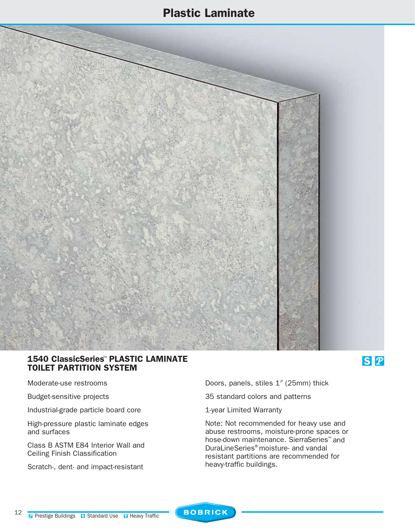## Plastic Laminate



#### 1540 ClassicSeries™ PLASTIC LAMINATE TOILET PARTITION SYSTEM

Moderate-use restrooms

Budget-sensitive projects

Industrial-grade particle board core

High-pressure plastic laminate edges and surfaces

Class B ASTM E84 Interior Wall and Ceiling Finish Classification

Scratch-, dent- and impact-resistant

Doors, panels, stiles 1" (25mm) thick

 $S$   $\overline{P}$ 

35 standard colors and patterns

1-year Limited Warranty

Note: Not recommended for heavy use and abuse restrooms, moisture-prone spaces or hose-down maintenance. SierraSeries™ and DuraLineSeries® moisture- and vandal resistant partitions are recommended for heavy-traffic buildings.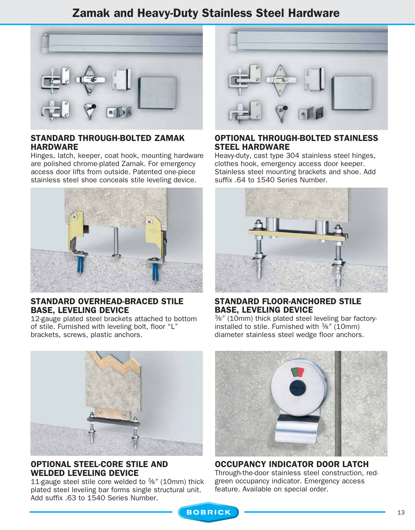# Zamak and Heavy-Duty Stainless Steel Hardware



#### STANDARD THROUGH-BOLTED ZAMAK HARDWARE

Hinges, latch, keeper, coat hook, mounting hardware are polished chrome-plated Zamak. For emergency access door lifts from outside. Patented one-piece stainless steel shoe conceals stile leveling device.



#### STANDARD OVERHEAD-BRACED STILE BASE, LEVELING DEVICE

12-gauge plated steel brackets attached to bottom of stile. Furnished with leveling bolt, floor "L" brackets, screws, plastic anchors.



#### OPTIONAL STEEL-CORE STILE AND WELDED LEVELING DEVICE

11-gauge steel stile core welded to  $\frac{3}{8}$ " (10mm) thick plated steel leveling bar forms single structural unit. Add suffix .63 to 1540 Series Number.



#### OPTIONAL THROUGH-BOLTED STAINLESS STEEL HARDWARE

Heavy-duty, cast type 304 stainless steel hinges, clothes hook, emergency access door keeper. Stainless steel mounting brackets and shoe. Add suffix .64 to 1540 Series Number.



#### STANDARD FLOOR-ANCHORED STILE BASE, LEVELING DEVICE

3/8" (10mm) thick plated steel leveling bar factoryinstalled to stile. Furnished with  $\frac{3}{8}$ " (10mm) diameter stainless steel wedge floor anchors.



OCCUPANCY INDICATOR DOOR LATCH Through-the-door stainless steel construction, redgreen occupancy indicator. Emergency access feature. Available on special order.

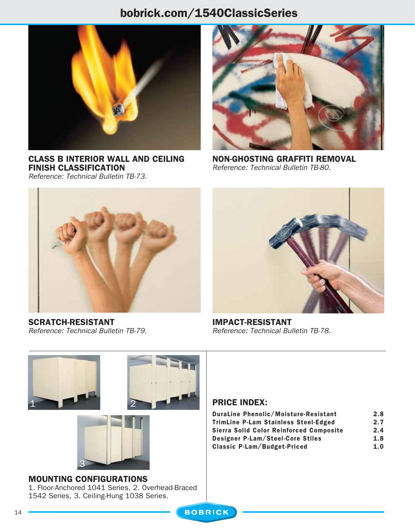# bobrick.com/1540ClassicSeries



CLASS B INTERIOR WALL AND CEILING FINISH CLASSIFICATION Reference: Technical Bulletin TB-73.



NON-GHOSTING GRAFFITI REMOVAL Reference: Technical Bulletin TB-80.



SCRATCH-RESISTANT Reference: Technical Bulletin TB-79.



IMPACT-RESISTANT Reference: Technical Bulletin TB-78.





MOUNTING CONFIGURATIONS 1. Floor-Anchored 1041 Series, 2. Overhead-Braced 1542 Series, 3. Ceiling-Hung 1038 Series.

#### PRICE INDEX:

| DuraLine Phenolic/Moisture-Resistant        | 2.8 |
|---------------------------------------------|-----|
| <b>TrimLine P-Lam Stainless Steel-Edged</b> | 2.7 |
| Sierra Solid Color Reinforced Composite     | 2.4 |
| <b>Designer P-Lam/Steel-Core Stiles</b>     | 1.8 |
| <b>Classic P-Lam/Budget-Priced</b>          | 1.0 |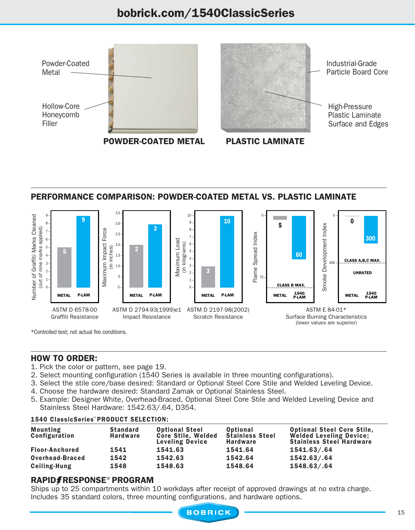

## PERFORMANCE COMPARISON: POWDER-COATED METAL VS. PLASTIC LAMINATE



\*Controlled test; not actual fire conditions.

## HOW TO ORDER:

- 1. Pick the color or pattern, see page 19.
- 2. Select mounting configuration (1540 Series is available in three mounting configurations).
- 3. Select the stile core/base desired: Standard or Optional Steel Core Stile and Welded Leveling Device.
- 4. Choose the hardware desired: Standard Zamak or Optional Stainless Steel.
- 5. Example: Designer White, Overhead-Braced, Optional Steel Core Stile and Welded Leveling Device and Stainless Steel Hardware: 1542.63/.64, D354.

#### 1540 ClassicSeries™ PRODUCT SELECTION:

| <b>Mounting</b><br>Configuration | <b>Standard</b><br>Hardware | <b>Optional Steel</b><br><b>Core Stile, Welded</b><br><b>Leveling Device</b> | <b>Optional</b><br><b>Stainless Steel</b><br>Hardware | <b>Optional Steel Core Stile,</b><br><b>Welded Leveling Device;</b><br><b>Stainless Steel Hardware</b> |
|----------------------------------|-----------------------------|------------------------------------------------------------------------------|-------------------------------------------------------|--------------------------------------------------------------------------------------------------------|
| <b>Floor-Anchored</b>            | 1541                        | 1541.63                                                                      | 1541.64                                               | 1541.63/.64                                                                                            |
| <b>Overhead-Braced</b>           | 1542                        | 1542.63                                                                      | 1542.64                                               | 1542.63/.64                                                                                            |
| <b>Ceiling-Hung</b>              | 1548                        | 1548.63                                                                      | 1548.64                                               | 1548.63/.64                                                                                            |

## RAPIDƒRESPONSE® PROGRAM

Ships up to 25 compartments within 10 workdays after receipt of approved drawings at no extra charge. Includes 35 standard colors, three mounting configurations, and hardware options.

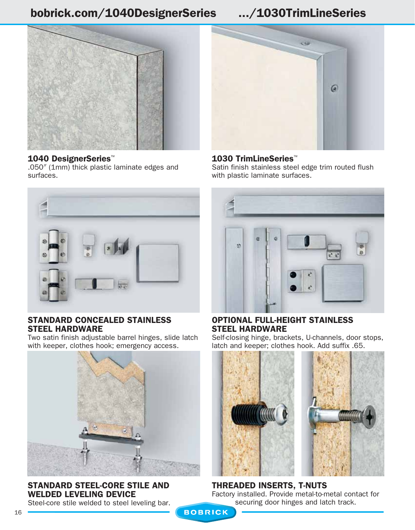# bobrick.com/1040DesignerSeries .../1030TrimLineSeries



#### 1040 DesignerSeries<sup>™</sup>

.050" (1mm) thick plastic laminate edges and surfaces.



#### STANDARD CONCEALED STAINLESS STEEL HARDWARE

Two satin finish adjustable barrel hinges, slide latch with keeper, clothes hook; emergency access.



## STANDARD STEEL-CORE STILE AND WELDED LEVELING DEVICE

Steel-core stile welded to steel leveling bar.



# 1030 TrimLineSeries<sup>™</sup>

Satin finish stainless steel edge trim routed flush with plastic laminate surfaces.



#### OPTIONAL FULL-HEIGHT STAINLESS STEEL HARDWARE

Self-closing hinge, brackets, U-channels, door stops, latch and keeper; clothes hook. Add suffix .65.



THREADED INSERTS, T-NUTS Factory installed. Provide metal-to-metal contact for securing door hinges and latch track.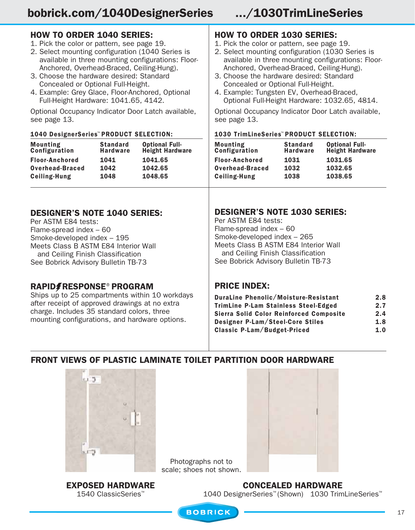## HOW TO ORDER 1040 SERIES:

- 1. Pick the color or pattern, see page 19.
- 2. Select mounting configuration (1040 Series is available in three mounting configurations: Floor-Anchored, Overhead-Braced, Ceiling-Hung).
- 3. Choose the hardware desired: Standard Concealed or Optional Full-Height.
- 4. Example: Grey Glace, Floor-Anchored, Optional Full-Height Hardware: 1041.65, 4142.

Optional Occupancy Indicator Door Latch available, see page 13.

#### 1040 DesignerSeries™ PRODUCT SELECTION:

| <b>Mounting</b><br>Configuration | <b>Standard</b><br><b>Hardware</b> | <b>Optional Full-<br/>Height Hardware</b> |
|----------------------------------|------------------------------------|-------------------------------------------|
| <b>Floor-Anchored</b>            | 1041                               | 1041.65                                   |
| <b>Overhead-Braced</b>           | 1042                               | 1042.65                                   |
| <b>Ceiling-Hung</b>              | 1048                               | 1048.65                                   |

#### DESIGNER'S NOTE 1040 SERIES:

Per ASTM E84 tests: Flame-spread index – 60 Smoke-developed index – 195 Meets Class B ASTM E84 Interior Wall and Ceiling Finish Classification See Bobrick Advisory Bulletin TB-73

#### RAPIDƒRESPONSE® PROGRAM

Ships  $u_p$  to 25 compartments within 10 workdays after receipt of approved drawings at no extra charge. Includes 35 standard colors, three mounting configurations, and hardware options.

## HOW TO ORDER 1030 SERIES:

- 1. Pick the color or pattern, see page 19.
- 2. Select mounting configuration (1030 Series is available in three mounting configurations: Floor-Anchored, Overhead-Braced, Ceiling-Hung).
- 3. Choose the hardware desired: Standard Concealed or Optional Full-Height.
- 4. Example: Tungsten EV, Overhead-Braced, Optional Full-Height Hardware: 1032.65, 4814.

Optional Occupancy Indicator Door Latch available, see page 13.

#### 1030 TrimLineSeries™ PRODUCT SELECTION:

| <b>Mounting</b><br>Configuration | <b>Standard</b><br><b>Hardware</b> | <b>Optional Full-</b><br><b>Height Hardware</b> |
|----------------------------------|------------------------------------|-------------------------------------------------|
| <b>Floor-Anchored</b>            | 1031                               | 1031.65                                         |
| <b>Overhead-Braced</b>           | 1032                               | 1032.65                                         |
| <b>Ceiling-Hung</b>              | 1038                               | 1038.65                                         |

## DESIGNER'S NOTE 1030 SERIES:

Per ASTM E84 tests: Flame-spread index – 60 Smoke-developed index – 265 Meets Class B ASTM E84 Interior Wall and Ceiling Finish Classification See Bobrick Advisory Bulletin TB-73

## PRICE INDEX:

| DuraLine Phenolic/Moisture-Resistant           | 2.8 |
|------------------------------------------------|-----|
| <b>TrimLine P-Lam Stainless Steel-Edged</b>    | 2.7 |
| <b>Sierra Solid Color Reinforced Composite</b> | 2.4 |
| Designer P-Lam/Steel-Core Stiles               | 1.8 |
| Classic P-Lam/Budget-Priced                    | 1.0 |

## FRONT VIEWS OF PLASTIC LAMINATE TOILET PARTITION DOOR HARDWARE



EXPOSED HARDWARE 1540 ClassicSeries<sup>™</sup>

Photographs not to scale; shoes not shown.



CONCEALED HARDWARE

1040 DesignerSeries™ (Shown) 1030 TrimLineSeries™

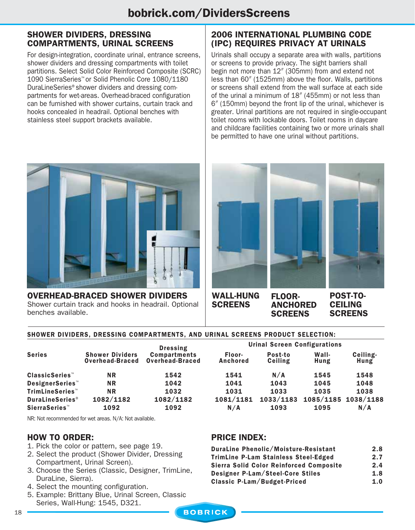# bobrick.com/DividersScreens

#### SHOWER DIVIDERS, DRESSING COMPARTMENTS, URINAL SCREENS

For design-integration, coordinate urinal, entrance screens, shower dividers and dressing compartments with toilet partitions. Select Solid Color Reinforced Composite (SCRC) 1090 SierraSeries™ or Solid Phenolic Core 1080/1180 DuraLineSeries® shower dividers and dressing compartments for wet-areas. Overhead-braced configuration can be furnished with shower curtains, curtain track and hooks concealed in headrail. Optional benches with stainless steel support brackets available.

#### 2006 INTERNATIONAL PLUMBING CODE (IPC) REQUIRES PRIVACY AT URINALS

Urinals shall occupy a separate area with walls, partitions or screens to provide privacy. The sight barriers shall begin not more than 12" (305mm) from and extend not less than 60" (1525mm) above the floor. Walls, partitions or screens shall extend from the wall surface at each side of the urinal a minimum of 18" (455mm) or not less than 6" (150mm) beyond the front lip of the urinal, whichever is greater. Urinal partitions are not required in single-occupant toilet rooms with lockable doors. Toilet rooms in daycare and childcare facilities containing two or more urinals shall be permitted to have one urinal without partitions.



OVERHEAD-BRACED SHOWER DIVIDERS Shower curtain track and hooks in headrail. Optional benches available.



FLOOR-ANCHORED **SCREENS** 

WALL-HUNG **SCREENS** 

POST-TO-**CEILING SCREENS** 

#### SHOWER DIVIDERS, DRESSING COMPARTMENTS, AND URINAL SCREENS PRODUCT SELECTION:

|                                    |                                                  | <b>Dressing</b>                        | <b>Urinal Screen Configurations</b> |                    |               |                     |
|------------------------------------|--------------------------------------------------|----------------------------------------|-------------------------------------|--------------------|---------------|---------------------|
| <b>Series</b>                      | <b>Shower Dividers</b><br><b>Overhead-Braced</b> | <b>Compartments</b><br>Overhead-Braced | Floor-<br>Anchored                  | Post-to<br>Ceiling | Wall-<br>Hung | Ceiling-<br>Hung    |
| ClassicSeries <sup>™</sup>         | <b>NR</b>                                        | 1542                                   | 1541                                | N/A                | 1545          | 1548                |
| <b>DesignerSeries</b> <sup>™</sup> | <b>NR</b>                                        | 1042                                   | 1041                                | 1043               | 1045          | 1048                |
| TrimLineSeries <sup>™</sup>        | <b>NR</b>                                        | 1032                                   | 1031                                | 1033               | 1035          | 1038                |
| <b>DuraLineSeries</b> <sup>®</sup> | 1082/1182                                        | 1082/1182                              | 1081/1181                           | 1033/1183          |               | 1085/1185 1038/1188 |
| SierraSeries <sup>™</sup>          | 1092                                             | 1092                                   | N/A                                 | 1093               | 1095          | N/A                 |

NR: Not recommended for wet areas. N/A: Not available.

## HOW TO ORDER:

- 1. Pick the color or pattern, see page 19.
- 2. Select the product (Shower Divider, Dressing Compartment, Urinal Screen).
- 3. Choose the Series (Classic, Designer, TrimLine, DuraLine, Sierra).
- 4. Select the mounting configuration.
- 5. Example: Brittany Blue, Urinal Screen, Classic Series, Wall-Hung: 1545, D321.

#### PRICE INDEX:

| DuraLine Phenolic/Moisture-Resistant        | 2.8 |
|---------------------------------------------|-----|
| <b>TrimLine P-Lam Stainless Steel-Edged</b> | 2.7 |
| Sierra Solid Color Reinforced Composite     | 2.4 |
| Designer P-Lam/Steel-Core Stiles            | 1.8 |
| Classic P-Lam/Budget-Priced                 | 1.0 |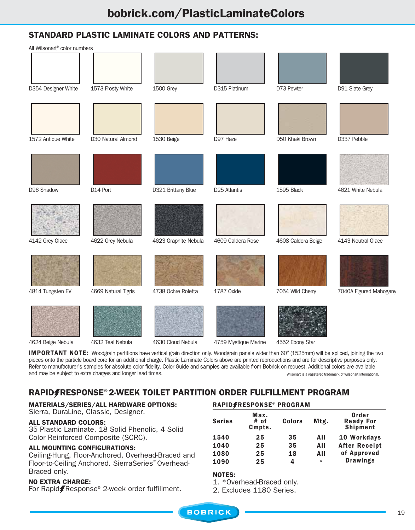## STANDARD PLASTIC LAMINATE COLORS AND PATTERNS:

| All Wilsonart <sup>®</sup> color numbers |                                                                                                                                                           |                      |                      |                    |                        |
|------------------------------------------|-----------------------------------------------------------------------------------------------------------------------------------------------------------|----------------------|----------------------|--------------------|------------------------|
|                                          |                                                                                                                                                           |                      |                      |                    |                        |
| D354 Designer White                      | 1573 Frosty White                                                                                                                                         | <b>1500 Grey</b>     | D315 Platinum        | D73 Pewter         | D91 Slate Grey         |
| 1572 Antique White                       | D30 Natural Almond                                                                                                                                        | 1530 Beige           | D97 Haze             | D50 Khaki Brown    | D337 Pebble            |
| D96 Shadow                               | D14 Port                                                                                                                                                  | D321 Brittany Blue   | D25 Atlantis         | 1595 Black         | 4621 White Nebula      |
| 4142 Grey Glace                          | 4622 Grey Nebula                                                                                                                                          | 4623 Graphite Nebula | 4609 Caldera Rose    | 4608 Caldera Beige | 4143 Neutral Glace     |
|                                          |                                                                                                                                                           |                      |                      |                    |                        |
| 4814 Tungsten EV                         | 4669 Natural Tigris                                                                                                                                       | 4738 Ochre Roletta   | 1787 Oxide           | 7054 Wild Cherry   | 7040A Figured Mahogany |
|                                          |                                                                                                                                                           |                      |                      |                    |                        |
| 4624 Beige Nebula                        | 4632 Teal Nebula                                                                                                                                          | 4630 Cloud Nebula    | 4759 Mystique Marine | 4552 Ebony Star    |                        |
|                                          | <b>IMPORTANT NOTE:</b> Woodgrain partitions have vertical grain direction only. Woodgrain panels wider than 60" (1525mm) will be spliced, joining the two |                      |                      |                    |                        |

pieces onto the particle board core for an additional charge. Plastic Laminate Colors above are printed reproductions and are for descriptive purposes only. Refer to manufacturer's samples for absolute color fidelity. Color Guide and samples are available from Bobrick on request. Additional colors are available and may be subject to extra charges and longer lead times. Wilsonart is a registered trademark of Wilsonart International.

## RAPIDƒRESPONSE® 2-WEEK TOILET PARTITION ORDER FULFILLMENT PROGRAM

#### MATERIALS/SERIES/ALL HARDWARE OPTIONS: Sierra, DuraLine, Classic, Designer.

ALL STANDARD COLORS: 35 Plastic Laminate, 18 Solid Phenolic, 4 Solid Color Reinforced Composite (SCRC).

#### ALL MOUNTING CONFIGURATIONS:

Ceiling-Hung, Floor-Anchored, Overhead-Braced and Floor-to-Ceiling Anchored. SierraSeries™ Overhead-Braced only.

#### NO EXTRA CHARGE:

For Rapid Response® 2-week order fulfillment.

#### **RAPID ≸RESPONSE® PROGRAM**

| <b>Series</b> | Max.<br># of<br>Cmpts. | <b>Colors</b> | Mtg.    | Order<br><b>Ready For</b><br><b>Shipment</b> |
|---------------|------------------------|---------------|---------|----------------------------------------------|
| 1540          | 25                     | 35            | All     | 10 Workdays                                  |
| 1040          | 25                     | 35            | All     | <b>After Receipt</b>                         |
| 1080          | 25                     | 18            | All     | of Approved                                  |
| 1090          | 25                     | 4             | $\star$ | <b>Drawings</b>                              |

#### NOTES:

1. \*Overhead-Braced only.

2. Excludes 1180 Series.